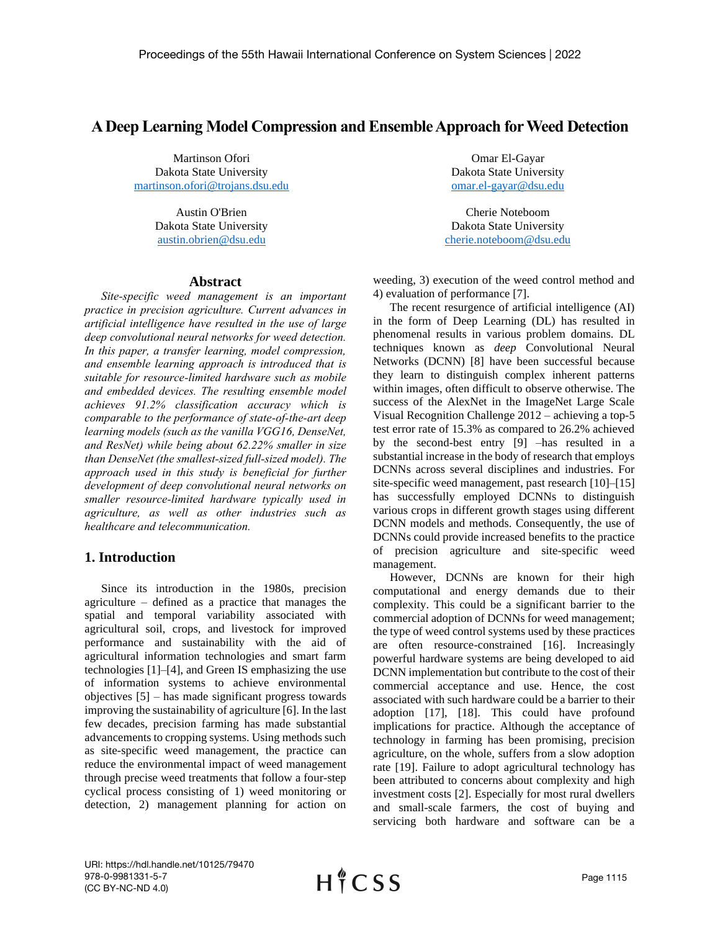# **A Deep Learning Model Compression and Ensemble Approach forWeed Detection**

Martinson Ofori Dakota State University [martinson.ofori@trojans.dsu.edu](mailto:martinson.ofori@trojans.dsu.edu)

> Austin O'Brien Dakota State University [austin.obrien@dsu.edu](mailto:austin.obrien@dsu.edu)

#### **Abstract**

*Site-specific weed management is an important practice in precision agriculture. Current advances in artificial intelligence have resulted in the use of large deep convolutional neural networks for weed detection. In this paper, a transfer learning, model compression, and ensemble learning approach is introduced that is suitable for resource-limited hardware such as mobile and embedded devices. The resulting ensemble model achieves 91.2% classification accuracy which is comparable to the performance of state-of-the-art deep learning models (such as the vanilla VGG16, DenseNet, and ResNet) while being about 62.22% smaller in size than DenseNet (the smallest-sized full-sized model). The approach used in this study is beneficial for further development of deep convolutional neural networks on smaller resource-limited hardware typically used in agriculture, as well as other industries such as healthcare and telecommunication.*

## **1. Introduction**

Since its introduction in the 1980s, precision agriculture – defined as a practice that manages the spatial and temporal variability associated with agricultural soil, crops, and livestock for improved performance and sustainability with the aid of agricultural information technologies and smart farm technologies [1]–[4], and Green IS emphasizing the use of information systems to achieve environmental objectives [5] – has made significant progress towards improving the sustainability of agriculture [6]. In the last few decades, precision farming has made substantial advancements to cropping systems. Using methods such as site-specific weed management, the practice can reduce the environmental impact of weed management through precise weed treatments that follow a four-step cyclical process consisting of 1) weed monitoring or detection, 2) management planning for action on

Omar El-Gayar Dakota State University [omar.el-gayar@dsu.edu](mailto:omar.el-gayar@dsu.edu)

Cherie Noteboom Dakota State University [cherie.noteboom@dsu.edu](mailto:cherie.noteboom@dsu.edu)

weeding, 3) execution of the weed control method and 4) evaluation of performance [7].

The recent resurgence of artificial intelligence (AI) in the form of Deep Learning (DL) has resulted in phenomenal results in various problem domains. DL techniques known as *deep* Convolutional Neural Networks (DCNN) [8] have been successful because they learn to distinguish complex inherent patterns within images, often difficult to observe otherwise. The success of the AlexNet in the ImageNet Large Scale Visual Recognition Challenge 2012 – achieving a top-5 test error rate of 15.3% as compared to 26.2% achieved by the second-best entry [9] –has resulted in a substantial increase in the body of research that employs DCNNs across several disciplines and industries. For site-specific weed management, past research [10]–[15] has successfully employed DCNNs to distinguish various crops in different growth stages using different DCNN models and methods. Consequently, the use of DCNNs could provide increased benefits to the practice of precision agriculture and site-specific weed management.

However, DCNNs are known for their high computational and energy demands due to their complexity. This could be a significant barrier to the commercial adoption of DCNNs for weed management; the type of weed control systems used by these practices are often resource-constrained [16]. Increasingly powerful hardware systems are being developed to aid DCNN implementation but contribute to the cost of their commercial acceptance and use. Hence, the cost associated with such hardware could be a barrier to their adoption [17], [18]. This could have profound implications for practice. Although the acceptance of technology in farming has been promising, precision agriculture, on the whole, suffers from a slow adoption rate [19]. Failure to adopt agricultural technology has been attributed to concerns about complexity and high investment costs [2]. Especially for most rural dwellers and small-scale farmers, the cost of buying and servicing both hardware and software can be a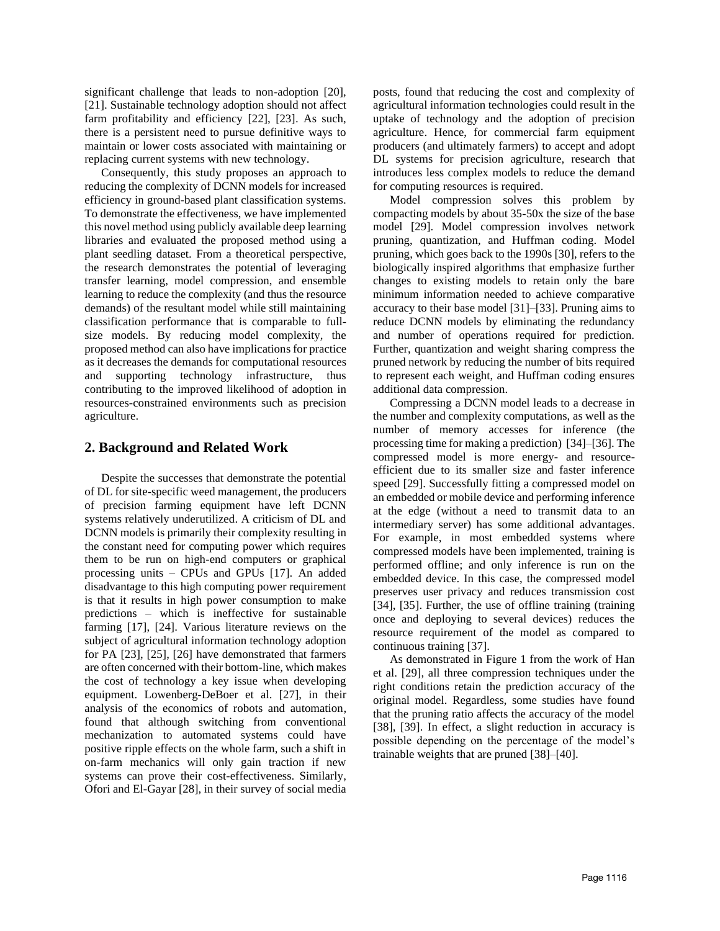significant challenge that leads to non-adoption [20], [21]. Sustainable technology adoption should not affect farm profitability and efficiency [22], [23]. As such, there is a persistent need to pursue definitive ways to maintain or lower costs associated with maintaining or replacing current systems with new technology.

Consequently, this study proposes an approach to reducing the complexity of DCNN models for increased efficiency in ground-based plant classification systems. To demonstrate the effectiveness, we have implemented this novel method using publicly available deep learning libraries and evaluated the proposed method using a plant seedling dataset. From a theoretical perspective, the research demonstrates the potential of leveraging transfer learning, model compression, and ensemble learning to reduce the complexity (and thus the resource demands) of the resultant model while still maintaining classification performance that is comparable to fullsize models. By reducing model complexity, the proposed method can also have implications for practice as it decreases the demands for computational resources and supporting technology infrastructure, thus contributing to the improved likelihood of adoption in resources-constrained environments such as precision agriculture.

### **2. Background and Related Work**

Despite the successes that demonstrate the potential of DL for site-specific weed management, the producers of precision farming equipment have left DCNN systems relatively underutilized. A criticism of DL and DCNN models is primarily their complexity resulting in the constant need for computing power which requires them to be run on high-end computers or graphical processing units – CPUs and GPUs [17]. An added disadvantage to this high computing power requirement is that it results in high power consumption to make predictions – which is ineffective for sustainable farming [17], [24]. Various literature reviews on the subject of agricultural information technology adoption for PA [23], [25], [26] have demonstrated that farmers are often concerned with their bottom-line, which makes the cost of technology a key issue when developing equipment. Lowenberg-DeBoer et al. [27], in their analysis of the economics of robots and automation, found that although switching from conventional mechanization to automated systems could have positive ripple effects on the whole farm, such a shift in on-farm mechanics will only gain traction if new systems can prove their cost-effectiveness. Similarly, Ofori and El-Gayar [28], in their survey of social media

posts, found that reducing the cost and complexity of agricultural information technologies could result in the uptake of technology and the adoption of precision agriculture. Hence, for commercial farm equipment producers (and ultimately farmers) to accept and adopt DL systems for precision agriculture, research that introduces less complex models to reduce the demand for computing resources is required.

Model compression solves this problem by compacting models by about 35-50x the size of the base model [29]. Model compression involves network pruning, quantization, and Huffman coding. Model pruning, which goes back to the 1990s [30], refers to the biologically inspired algorithms that emphasize further changes to existing models to retain only the bare minimum information needed to achieve comparative accuracy to their base model [31]–[33]. Pruning aims to reduce DCNN models by eliminating the redundancy and number of operations required for prediction. Further, quantization and weight sharing compress the pruned network by reducing the number of bits required to represent each weight, and Huffman coding ensures additional data compression.

Compressing a DCNN model leads to a decrease in the number and complexity computations, as well as the number of memory accesses for inference (the processing time for making a prediction) [34]–[36]. The compressed model is more energy- and resourceefficient due to its smaller size and faster inference speed [29]. Successfully fitting a compressed model on an embedded or mobile device and performing inference at the edge (without a need to transmit data to an intermediary server) has some additional advantages. For example, in most embedded systems where compressed models have been implemented, training is performed offline; and only inference is run on the embedded device. In this case, the compressed model preserves user privacy and reduces transmission cost [34], [35]. Further, the use of offline training (training) once and deploying to several devices) reduces the resource requirement of the model as compared to continuous training [37].

As demonstrated in Figure 1 from the work of Han et al. [29], all three compression techniques under the right conditions retain the prediction accuracy of the original model. Regardless, some studies have found that the pruning ratio affects the accuracy of the model [38], [39]. In effect, a slight reduction in accuracy is possible depending on the percentage of the model's trainable weights that are pruned [38]–[40].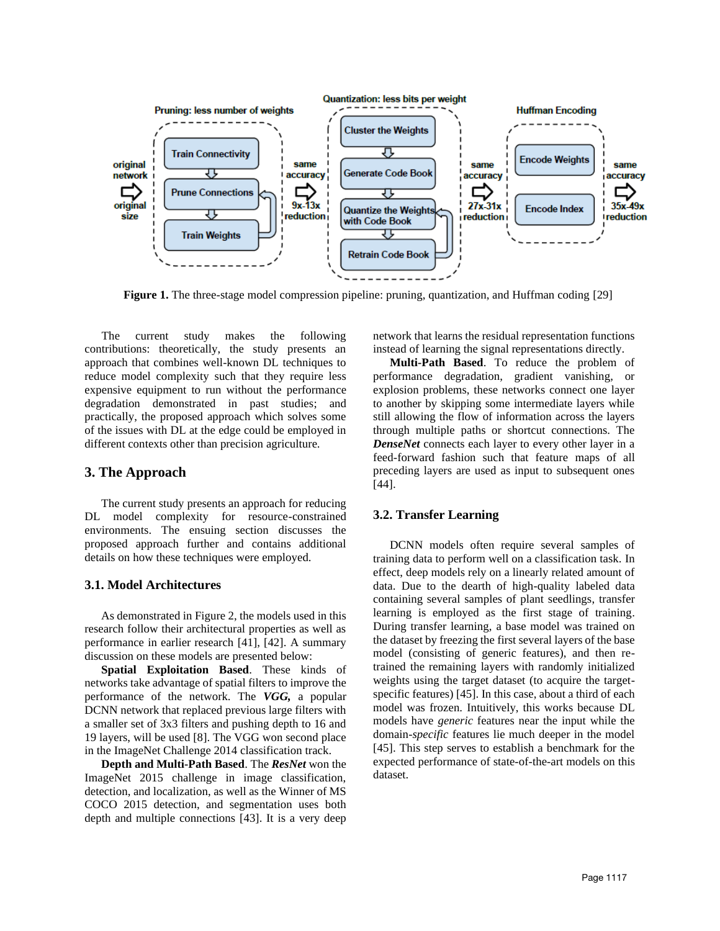

**Figure 1.** The three-stage model compression pipeline: pruning, quantization, and Huffman coding [29]

The current study makes the following contributions: theoretically, the study presents an approach that combines well-known DL techniques to reduce model complexity such that they require less expensive equipment to run without the performance degradation demonstrated in past studies; and practically, the proposed approach which solves some of the issues with DL at the edge could be employed in different contexts other than precision agriculture.

## **3. The Approach**

The current study presents an approach for reducing DL model complexity for resource-constrained environments. The ensuing section discusses the proposed approach further and contains additional details on how these techniques were employed.

### **3.1. Model Architectures**

As demonstrated in Figure 2, the models used in this research follow their architectural properties as well as performance in earlier research [41], [42]. A summary discussion on these models are presented below:

**Spatial Exploitation Based**. These kinds of networks take advantage of spatial filters to improve the performance of the network. The *VGG,* a popular DCNN network that replaced previous large filters with a smaller set of 3x3 filters and pushing depth to 16 and 19 layers, will be used [8]. The VGG won second place in the ImageNet Challenge 2014 classification track.

**Depth and Multi-Path Based**. The *ResNet* won the ImageNet 2015 challenge in image classification, detection, and localization, as well as the Winner of MS COCO 2015 detection, and segmentation uses both depth and multiple connections [43]. It is a very deep

network that learns the residual representation functions instead of learning the signal representations directly.

**Multi-Path Based**. To reduce the problem of performance degradation, gradient vanishing, or explosion problems, these networks connect one layer to another by skipping some intermediate layers while still allowing the flow of information across the layers through multiple paths or shortcut connections. The *DenseNet* connects each layer to every other layer in a feed-forward fashion such that feature maps of all preceding layers are used as input to subsequent ones [44].

#### **3.2. Transfer Learning**

DCNN models often require several samples of training data to perform well on a classification task. In effect, deep models rely on a linearly related amount of data. Due to the dearth of high-quality labeled data containing several samples of plant seedlings, transfer learning is employed as the first stage of training. During transfer learning, a base model was trained on the dataset by freezing the first several layers of the base model (consisting of generic features), and then retrained the remaining layers with randomly initialized weights using the target dataset (to acquire the targetspecific features) [45]. In this case, about a third of each model was frozen. Intuitively, this works because DL models have *generic* features near the input while the domain-*specific* features lie much deeper in the model [45]. This step serves to establish a benchmark for the expected performance of state-of-the-art models on this dataset.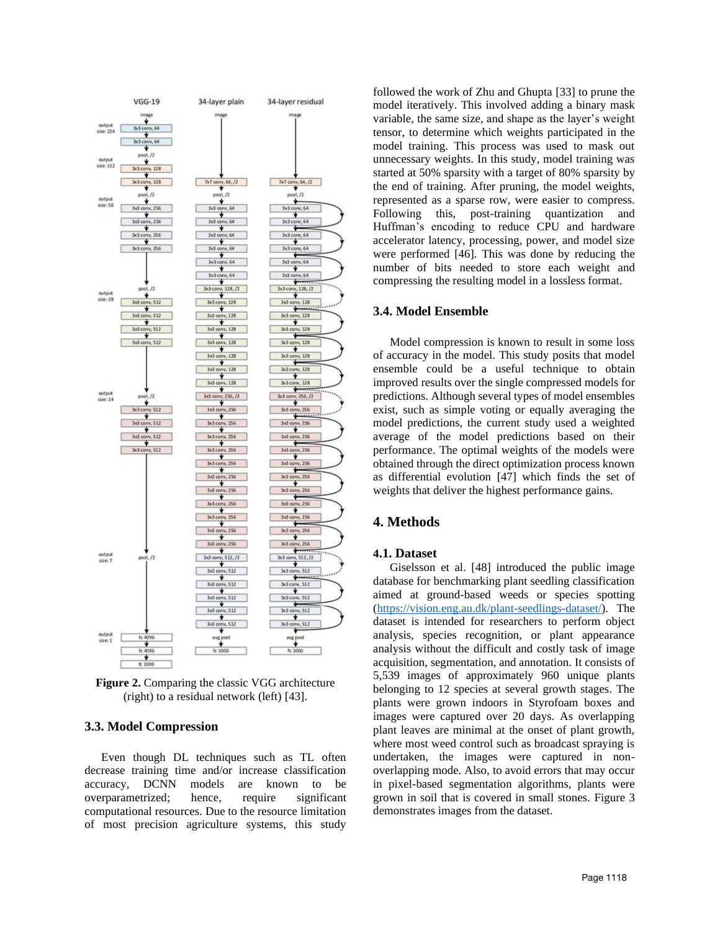

**Figure 2.** Comparing the classic VGG architecture (right) to a residual network (left) [43].

#### **3.3. Model Compression**

Even though DL techniques such as TL often decrease training time and/or increase classification accuracy, DCNN models are known to be overparametrized; hence, require significant computational resources. Due to the resource limitation of most precision agriculture systems, this study

followed the work of Zhu and Ghupta [33] to prune the model iteratively. This involved adding a binary mask variable, the same size, and shape as the layer's weight tensor, to determine which weights participated in the model training. This process was used to mask out unnecessary weights. In this study, model training was started at 50% sparsity with a target of 80% sparsity by the end of training. After pruning, the model weights, represented as a sparse row, were easier to compress. Following this, post-training quantization and Huffman's encoding to reduce CPU and hardware accelerator latency, processing, power, and model size were performed [46]. This was done by reducing the number of bits needed to store each weight and compressing the resulting model in a lossless format.

#### **3.4. Model Ensemble**

Model compression is known to result in some loss of accuracy in the model. This study posits that model ensemble could be a useful technique to obtain improved results over the single compressed models for predictions. Although several types of model ensembles exist, such as simple voting or equally averaging the model predictions, the current study used a weighted average of the model predictions based on their performance. The optimal weights of the models were obtained through the direct optimization process known as differential evolution [47] which finds the set of weights that deliver the highest performance gains.

## **4. Methods**

#### **4.1. Dataset**

Giselsson et al. [48] introduced the public image database for benchmarking plant seedling classification aimed at ground-based weeds or species spotting [\(https://vision.eng.au.dk/plant-seedlings-dataset/\)](https://vision.eng.au.dk/plant-seedlings-dataset/). The dataset is intended for researchers to perform object analysis, species recognition, or plant appearance analysis without the difficult and costly task of image acquisition, segmentation, and annotation. It consists of 5,539 images of approximately 960 unique plants belonging to 12 species at several growth stages. The plants were grown indoors in Styrofoam boxes and images were captured over 20 days. As overlapping plant leaves are minimal at the onset of plant growth, where most weed control such as broadcast spraying is undertaken, the images were captured in nonoverlapping mode. Also, to avoid errors that may occur in pixel-based segmentation algorithms, plants were grown in soil that is covered in small stones. Figure 3 demonstrates images from the dataset.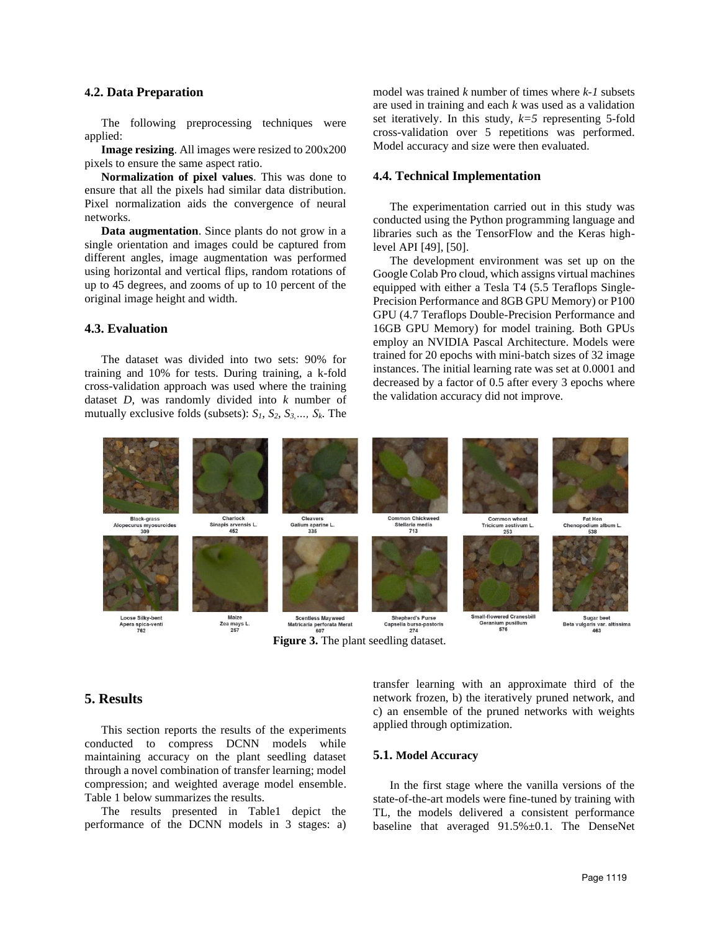#### **4.2. Data Preparation**

The following preprocessing techniques were applied:

**Image resizing**. All images were resized to 200x200 pixels to ensure the same aspect ratio.

**Normalization of pixel values**. This was done to ensure that all the pixels had similar data distribution. Pixel normalization aids the convergence of neural networks.

**Data augmentation**. Since plants do not grow in a single orientation and images could be captured from different angles, image augmentation was performed using horizontal and vertical flips, random rotations of up to 45 degrees, and zooms of up to 10 percent of the original image height and width.

#### **4.3. Evaluation**

The dataset was divided into two sets: 90% for training and 10% for tests. During training, a k-fold cross-validation approach was used where the training dataset *D*, was randomly divided into *k* number of mutually exclusive folds (subsets): *S1, S2, S3,…, Sk*. The

model was trained *k* number of times where *k-1* subsets are used in training and each *k* was used as a validation set iteratively. In this study,  $k=5$  representing 5-fold cross-validation over 5 repetitions was performed. Model accuracy and size were then evaluated.

#### **4.4. Technical Implementation**

The experimentation carried out in this study was conducted using the Python programming language and libraries such as the TensorFlow and the Keras highlevel API [49], [50].

The development environment was set up on the Google Colab Pro cloud, which assigns virtual machines equipped with either a Tesla T4 (5.5 Teraflops Single-Precision Performance and 8GB GPU Memory) or P100 GPU (4.7 Teraflops Double-Precision Performance and 16GB GPU Memory) for model training. Both GPUs employ an NVIDIA Pascal Architecture. Models were trained for 20 epochs with mini-batch sizes of 32 image instances. The initial learning rate was set at 0.0001 and decreased by a factor of 0.5 after every 3 epochs where the validation accuracy did not improve.



**Figure 3.** The plant seedling dataset.

# **5. Results**

This section reports the results of the experiments conducted to compress DCNN models while maintaining accuracy on the plant seedling dataset through a novel combination of transfer learning; model compression; and weighted average model ensemble. Table 1 below summarizes the results.

The results presented in Table1 depict the performance of the DCNN models in 3 stages: a) transfer learning with an approximate third of the network frozen, b) the iteratively pruned network, and c) an ensemble of the pruned networks with weights applied through optimization.

#### **5.1. Model Accuracy**

In the first stage where the vanilla versions of the state-of-the-art models were fine-tuned by training with TL, the models delivered a consistent performance baseline that averaged 91.5%±0.1. The DenseNet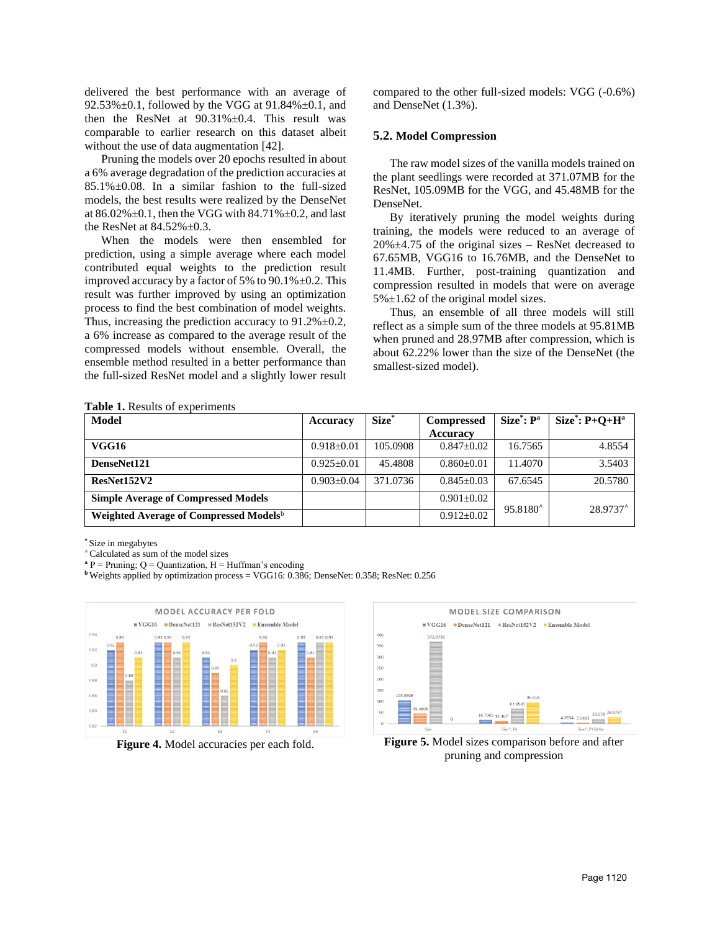delivered the best performance with an average of 92.53% $\pm$ 0.1, followed by the VGG at 91.84% $\pm$ 0.1, and then the ResNet at 90.31%±0.4. This result was comparable to earlier research on this dataset albeit without the use of data augmentation [42].

Pruning the models over 20 epochs resulted in about a 6% average degradation of the prediction accuracies at 85.1%±0.08. In a similar fashion to the full-sized models, the best results were realized by the DenseNet at  $86.02\% \pm 0.1$ , then the VGG with  $84.71\% \pm 0.2$ , and last the ResNet at  $84.52\% \pm 0.3$ .

When the models were then ensembled for prediction, using a simple average where each model contributed equal weights to the prediction result improved accuracy by a factor of 5% to  $90.1\% \pm 0.2$ . This result was further improved by using an optimization process to find the best combination of model weights. Thus, increasing the prediction accuracy to  $91.2\% \pm 0.2$ , a 6% increase as compared to the average result of the compressed models without ensemble. Overall, the ensemble method resulted in a better performance than the full-sized ResNet model and a slightly lower result compared to the other full-sized models: VGG (-0.6%) and DenseNet (1.3%).

#### **5.2. Model Compression**

The raw model sizes of the vanilla models trained on the plant seedlings were recorded at 371.07MB for the ResNet, 105.09MB for the VGG, and 45.48MB for the DenseNet.

By iteratively pruning the model weights during training, the models were reduced to an average of  $20\% \pm 4.75$  of the original sizes – ResNet decreased to 67.65MB, VGG16 to 16.76MB, and the DenseNet to 11.4MB. Further, post-training quantization and compression resulted in models that were on average  $5\% \pm 1.62$  of the original model sizes.

Thus, an ensemble of all three models will still reflect as a simple sum of the three models at 95.81MB when pruned and 28.97MB after compression, which is about 62.22% lower than the size of the DenseNet (the smallest-sized model).

**Table 1.** Results of experiments

| Model                                              | Accuracy         | Size*    | <b>Compressed</b> | $Size^*$ : $Pe^*$    | $Size^*$ : $P+O+H^a$ |
|----------------------------------------------------|------------------|----------|-------------------|----------------------|----------------------|
|                                                    |                  |          | Accuracy          |                      |                      |
| <b>VGG16</b>                                       | $0.918 \pm 0.01$ | 105.0908 | $0.847+0.02$      | 16.7565              | 4.8554               |
| DenseNet121                                        | $0.925 \pm 0.01$ | 45.4808  | $0.860+0.01$      | 11.4070              | 3.5403               |
| ResNet152V2                                        | $0.903+0.04$     | 371.0736 | $0.845 + 0.03$    | 67.6545              | 20.5780              |
| <b>Simple Average of Compressed Models</b>         |                  |          | $0.901 + 0.02$    | 95.8180 <sup>^</sup> | 28.9737              |
| Weighted Average of Compressed Models <sup>b</sup> |                  |          | $0.912 \pm 0.02$  |                      |                      |

**\*** Size in megabytes

**^** Calculated as sum of the model sizes

 $a$  P = Pruning; Q = Quantization, H = Huffman's encoding

**<sup>b</sup>**Weights applied by optimization process = VGG16: 0.386; DenseNet: 0.358; ResNet: 0.256





**Figure 4.** Model accuracies per each fold. **Figure 5.** Model sizes comparison before and after pruning and compression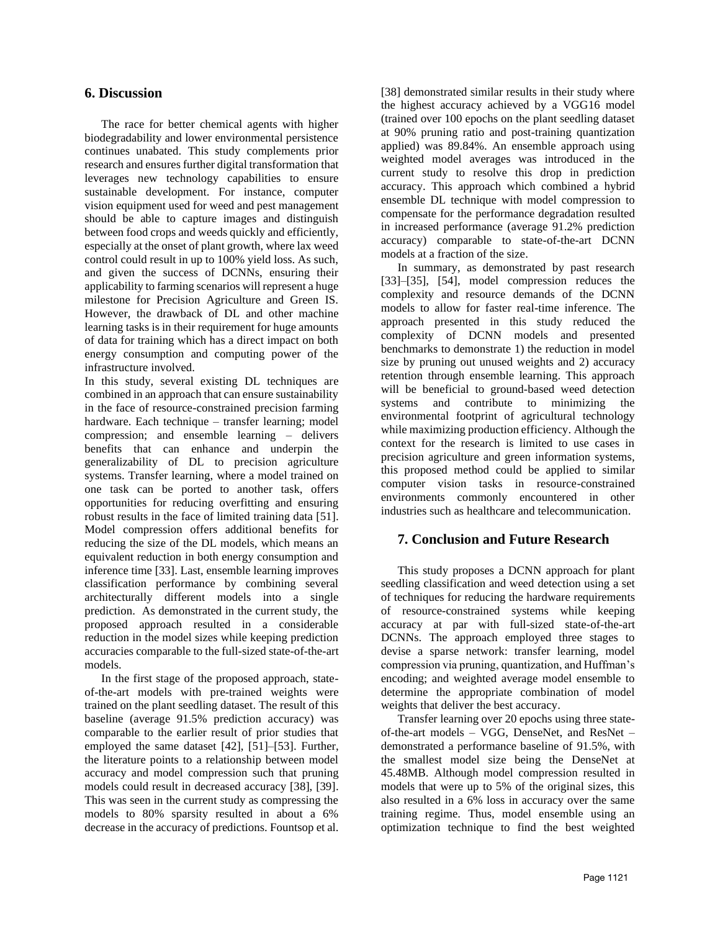# **6. Discussion**

The race for better chemical agents with higher biodegradability and lower environmental persistence continues unabated. This study complements prior research and ensures further digital transformation that leverages new technology capabilities to ensure sustainable development. For instance, computer vision equipment used for weed and pest management should be able to capture images and distinguish between food crops and weeds quickly and efficiently, especially at the onset of plant growth, where lax weed control could result in up to 100% yield loss. As such, and given the success of DCNNs, ensuring their applicability to farming scenarios will represent a huge milestone for Precision Agriculture and Green IS. However, the drawback of DL and other machine learning tasks is in their requirement for huge amounts of data for training which has a direct impact on both energy consumption and computing power of the infrastructure involved.

In this study, several existing DL techniques are combined in an approach that can ensure sustainability in the face of resource-constrained precision farming hardware. Each technique – transfer learning; model compression; and ensemble learning – delivers benefits that can enhance and underpin the generalizability of DL to precision agriculture systems. Transfer learning, where a model trained on one task can be ported to another task, offers opportunities for reducing overfitting and ensuring robust results in the face of limited training data [51]. Model compression offers additional benefits for reducing the size of the DL models, which means an equivalent reduction in both energy consumption and inference time [33]. Last, ensemble learning improves classification performance by combining several architecturally different models into a single prediction. As demonstrated in the current study, the proposed approach resulted in a considerable reduction in the model sizes while keeping prediction accuracies comparable to the full-sized state-of-the-art models.

In the first stage of the proposed approach, stateof-the-art models with pre-trained weights were trained on the plant seedling dataset. The result of this baseline (average 91.5% prediction accuracy) was comparable to the earlier result of prior studies that employed the same dataset [42], [51]–[53]. Further, the literature points to a relationship between model accuracy and model compression such that pruning models could result in decreased accuracy [38], [39]. This was seen in the current study as compressing the models to 80% sparsity resulted in about a 6% decrease in the accuracy of predictions. Fountsop et al.

[38] demonstrated similar results in their study where the highest accuracy achieved by a VGG16 model (trained over 100 epochs on the plant seedling dataset at 90% pruning ratio and post-training quantization applied) was 89.84%. An ensemble approach using weighted model averages was introduced in the current study to resolve this drop in prediction accuracy. This approach which combined a hybrid ensemble DL technique with model compression to compensate for the performance degradation resulted in increased performance (average 91.2% prediction accuracy) comparable to state-of-the-art DCNN models at a fraction of the size.

In summary, as demonstrated by past research [33]–[35], [54], model compression reduces the complexity and resource demands of the DCNN models to allow for faster real-time inference. The approach presented in this study reduced the complexity of DCNN models and presented benchmarks to demonstrate 1) the reduction in model size by pruning out unused weights and 2) accuracy retention through ensemble learning. This approach will be beneficial to ground-based weed detection systems and contribute to minimizing the environmental footprint of agricultural technology while maximizing production efficiency. Although the context for the research is limited to use cases in precision agriculture and green information systems, this proposed method could be applied to similar computer vision tasks in resource-constrained environments commonly encountered in other industries such as healthcare and telecommunication.

# **7. Conclusion and Future Research**

This study proposes a DCNN approach for plant seedling classification and weed detection using a set of techniques for reducing the hardware requirements of resource-constrained systems while keeping accuracy at par with full-sized state-of-the-art DCNNs. The approach employed three stages to devise a sparse network: transfer learning, model compression via pruning, quantization, and Huffman's encoding; and weighted average model ensemble to determine the appropriate combination of model weights that deliver the best accuracy.

Transfer learning over 20 epochs using three stateof-the-art models – VGG, DenseNet, and ResNet – demonstrated a performance baseline of 91.5%, with the smallest model size being the DenseNet at 45.48MB. Although model compression resulted in models that were up to 5% of the original sizes, this also resulted in a 6% loss in accuracy over the same training regime. Thus, model ensemble using an optimization technique to find the best weighted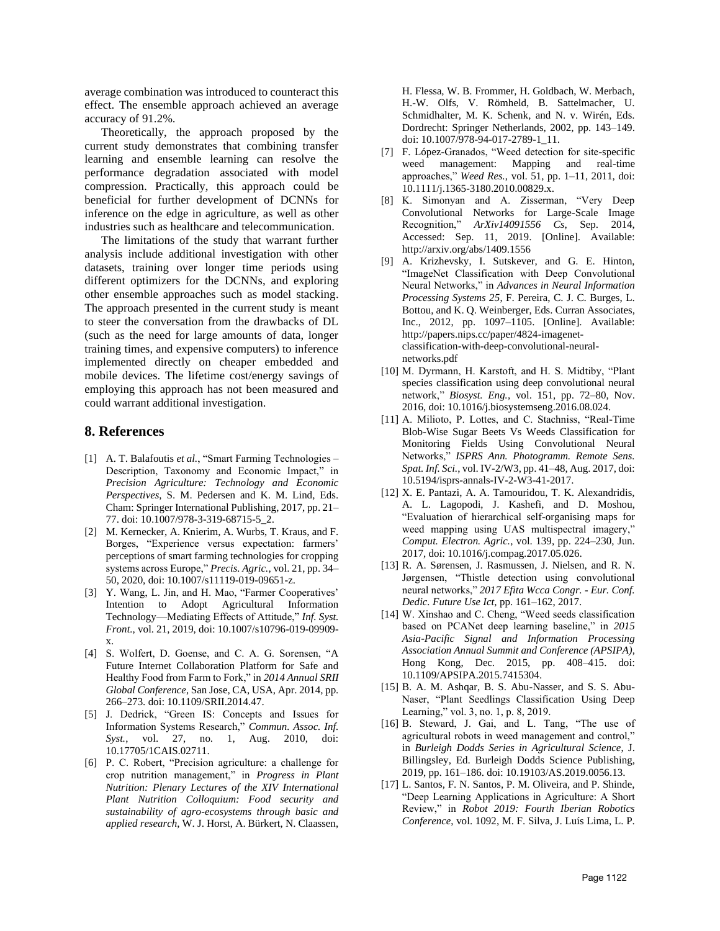average combination was introduced to counteract this effect. The ensemble approach achieved an average accuracy of 91.2%.

Theoretically, the approach proposed by the current study demonstrates that combining transfer learning and ensemble learning can resolve the performance degradation associated with model compression. Practically, this approach could be beneficial for further development of DCNNs for inference on the edge in agriculture, as well as other industries such as healthcare and telecommunication.

The limitations of the study that warrant further analysis include additional investigation with other datasets, training over longer time periods using different optimizers for the DCNNs, and exploring other ensemble approaches such as model stacking. The approach presented in the current study is meant to steer the conversation from the drawbacks of DL (such as the need for large amounts of data, longer training times, and expensive computers) to inference implemented directly on cheaper embedded and mobile devices. The lifetime cost/energy savings of employing this approach has not been measured and could warrant additional investigation.

### **8. References**

- [1] A. T. Balafoutis *et al.*, "Smart Farming Technologies Description, Taxonomy and Economic Impact," in *Precision Agriculture: Technology and Economic Perspectives*, S. M. Pedersen and K. M. Lind, Eds. Cham: Springer International Publishing, 2017, pp. 21– 77. doi: 10.1007/978-3-319-68715-5\_2.
- [2] M. Kernecker, A. Knierim, A. Wurbs, T. Kraus, and F. Borges, "Experience versus expectation: farmers' perceptions of smart farming technologies for cropping systems across Europe," *Precis. Agric.*, vol. 21, pp. 34– 50, 2020, doi: 10.1007/s11119-019-09651-z.
- [3] Y. Wang, L. Jin, and H. Mao, "Farmer Cooperatives' Intention to Adopt Agricultural Information Technology—Mediating Effects of Attitude," *Inf. Syst. Front.*, vol. 21, 2019, doi: 10.1007/s10796-019-09909 x.
- [4] S. Wolfert, D. Goense, and C. A. G. Sorensen, "A Future Internet Collaboration Platform for Safe and Healthy Food from Farm to Fork," in *2014 Annual SRII Global Conference*, San Jose, CA, USA, Apr. 2014, pp. 266–273. doi: 10.1109/SRII.2014.47.
- [5] J. Dedrick, "Green IS: Concepts and Issues for Information Systems Research," *Commun. Assoc. Inf. Syst.*, vol. 27, no. 1, Aug. 2010, doi: 10.17705/1CAIS.02711.
- [6] P. C. Robert, "Precision agriculture: a challenge for crop nutrition management," in *Progress in Plant Nutrition: Plenary Lectures of the XIV International Plant Nutrition Colloquium: Food security and sustainability of agro-ecosystems through basic and applied research*, W. J. Horst, A. Bürkert, N. Claassen,

H. Flessa, W. B. Frommer, H. Goldbach, W. Merbach, H.-W. Olfs, V. Römheld, B. Sattelmacher, U. Schmidhalter, M. K. Schenk, and N. v. Wirén, Eds. Dordrecht: Springer Netherlands, 2002, pp. 143–149. doi: 10.1007/978-94-017-2789-1\_11.

- [7] F. López-Granados, "Weed detection for site-specific weed management: Mapping and real-time approaches," *Weed Res.*, vol. 51, pp. 1–11, 2011, doi: 10.1111/j.1365-3180.2010.00829.x.
- [8] K. Simonyan and A. Zisserman, "Very Deep Convolutional Networks for Large-Scale Image Recognition," *ArXiv14091556 Cs*, Sep. 2014, Accessed: Sep. 11, 2019. [Online]. Available: http://arxiv.org/abs/1409.1556
- [9] A. Krizhevsky, I. Sutskever, and G. E. Hinton, "ImageNet Classification with Deep Convolutional Neural Networks," in *Advances in Neural Information Processing Systems 25*, F. Pereira, C. J. C. Burges, L. Bottou, and K. Q. Weinberger, Eds. Curran Associates, Inc., 2012, pp. 1097–1105. [Online]. Available: http://papers.nips.cc/paper/4824-imagenetclassification-with-deep-convolutional-neuralnetworks.pdf
- [10] M. Dyrmann, H. Karstoft, and H. S. Midtiby, "Plant species classification using deep convolutional neural network," *Biosyst. Eng.*, vol. 151, pp. 72–80, Nov. 2016, doi: 10.1016/j.biosystemseng.2016.08.024.
- [11] A. Milioto, P. Lottes, and C. Stachniss, "Real-Time Blob-Wise Sugar Beets Vs Weeds Classification for Monitoring Fields Using Convolutional Neural Networks," *ISPRS Ann. Photogramm. Remote Sens. Spat. Inf. Sci.*, vol. IV-2/W3, pp. 41–48, Aug. 2017, doi: 10.5194/isprs-annals-IV-2-W3-41-2017.
- [12] X. E. Pantazi, A. A. Tamouridou, T. K. Alexandridis, A. L. Lagopodi, J. Kashefi, and D. Moshou, "Evaluation of hierarchical self-organising maps for weed mapping using UAS multispectral imagery," *Comput. Electron. Agric.*, vol. 139, pp. 224–230, Jun. 2017, doi: 10.1016/j.compag.2017.05.026.
- [13] R. A. Sørensen, J. Rasmussen, J. Nielsen, and R. N. Jørgensen, "Thistle detection using convolutional neural networks," *2017 Efita Wcca Congr. - Eur. Conf. Dedic. Future Use Ict*, pp. 161–162, 2017.
- [14] W. Xinshao and C. Cheng, "Weed seeds classification based on PCANet deep learning baseline," in *2015 Asia-Pacific Signal and Information Processing Association Annual Summit and Conference (APSIPA)*, Hong Kong, Dec. 2015, pp. 408–415. doi: 10.1109/APSIPA.2015.7415304.
- [15] B. A. M. Ashqar, B. S. Abu-Nasser, and S. S. Abu-Naser, "Plant Seedlings Classification Using Deep Learning," vol. 3, no. 1, p. 8, 2019.
- [16] B. Steward, J. Gai, and L. Tang, "The use of agricultural robots in weed management and control," in *Burleigh Dodds Series in Agricultural Science*, J. Billingsley, Ed. Burleigh Dodds Science Publishing, 2019, pp. 161–186. doi: 10.19103/AS.2019.0056.13.
- [17] L. Santos, F. N. Santos, P. M. Oliveira, and P. Shinde, "Deep Learning Applications in Agriculture: A Short Review," in *Robot 2019: Fourth Iberian Robotics Conference*, vol. 1092, M. F. Silva, J. Luís Lima, L. P.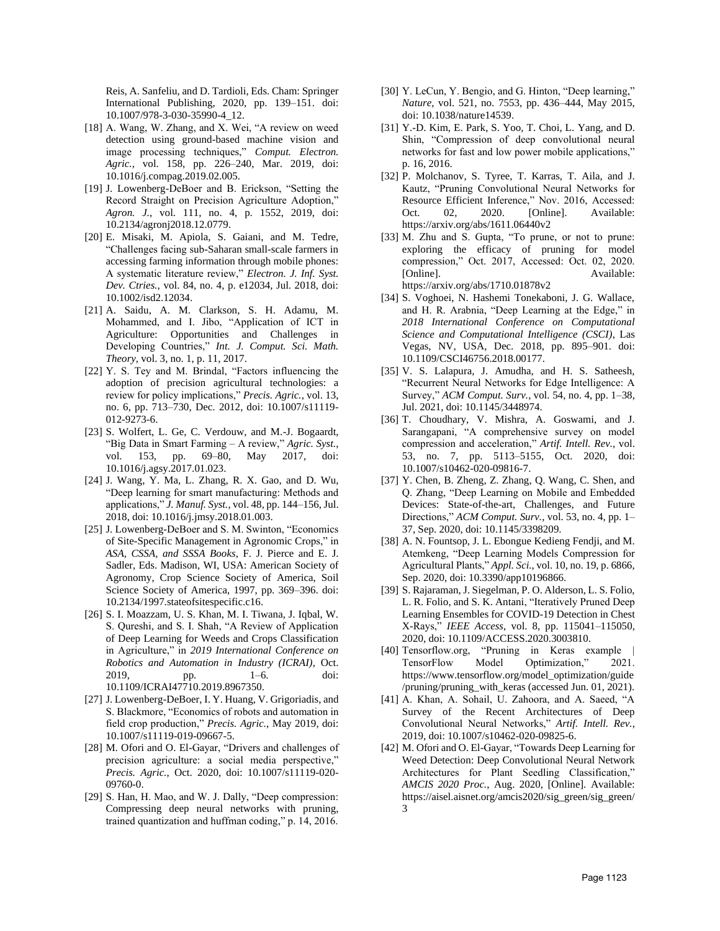Reis, A. Sanfeliu, and D. Tardioli, Eds. Cham: Springer International Publishing, 2020, pp. 139–151. doi: 10.1007/978-3-030-35990-4\_12.

- [18] A. Wang, W. Zhang, and X. Wei, "A review on weed detection using ground-based machine vision and image processing techniques," *Comput. Electron. Agric.*, vol. 158, pp. 226–240, Mar. 2019, doi: 10.1016/j.compag.2019.02.005.
- [19] J. Lowenberg-DeBoer and B. Erickson, "Setting the Record Straight on Precision Agriculture Adoption," *Agron. J.*, vol. 111, no. 4, p. 1552, 2019, doi: 10.2134/agronj2018.12.0779.
- [20] E. Misaki, M. Apiola, S. Gaiani, and M. Tedre, "Challenges facing sub-Saharan small-scale farmers in accessing farming information through mobile phones: A systematic literature review," *Electron. J. Inf. Syst. Dev. Ctries.*, vol. 84, no. 4, p. e12034, Jul. 2018, doi: 10.1002/isd2.12034.
- [21] A. Saidu, A. M. Clarkson, S. H. Adamu, M. Mohammed, and I. Jibo, "Application of ICT in Agriculture: Opportunities and Challenges in Developing Countries," *Int. J. Comput. Sci. Math. Theory*, vol. 3, no. 1, p. 11, 2017.
- [22] Y. S. Tey and M. Brindal, "Factors influencing the adoption of precision agricultural technologies: a review for policy implications," *Precis. Agric.*, vol. 13, no. 6, pp. 713–730, Dec. 2012, doi: 10.1007/s11119- 012-9273-6.
- [23] S. Wolfert, L. Ge, C. Verdouw, and M.-J. Bogaardt, "Big Data in Smart Farming – A review," *Agric. Syst.*, vol. 153, pp. 69–80, May 2017, doi: 10.1016/j.agsy.2017.01.023.
- [24] J. Wang, Y. Ma, L. Zhang, R. X. Gao, and D. Wu, "Deep learning for smart manufacturing: Methods and applications," *J. Manuf. Syst.*, vol. 48, pp. 144–156, Jul. 2018, doi: 10.1016/j.jmsy.2018.01.003.
- [25] J. Lowenberg-DeBoer and S. M. Swinton, "Economics of Site-Specific Management in Agronomic Crops," in *ASA, CSSA, and SSSA Books*, F. J. Pierce and E. J. Sadler, Eds. Madison, WI, USA: American Society of Agronomy, Crop Science Society of America, Soil Science Society of America, 1997, pp. 369–396. doi: 10.2134/1997.stateofsitespecific.c16.
- [26] S. I. Moazzam, U. S. Khan, M. I. Tiwana, J. Iqbal, W. S. Qureshi, and S. I. Shah, "A Review of Application of Deep Learning for Weeds and Crops Classification in Agriculture," in *2019 International Conference on Robotics and Automation in Industry (ICRAI)*, Oct. 2019, pp. 1–6. doi: 10.1109/ICRAI47710.2019.8967350.
- [27] J. Lowenberg-DeBoer, I. Y. Huang, V. Grigoriadis, and S. Blackmore, "Economics of robots and automation in field crop production," *Precis. Agric.*, May 2019, doi: 10.1007/s11119-019-09667-5.
- [28] M. Ofori and O. El-Gayar, "Drivers and challenges of precision agriculture: a social media perspective," *Precis. Agric.*, Oct. 2020, doi: 10.1007/s11119-020- 09760-0.
- [29] S. Han, H. Mao, and W. J. Dally, "Deep compression: Compressing deep neural networks with pruning, trained quantization and huffman coding," p. 14, 2016.
- [30] Y. LeCun, Y. Bengio, and G. Hinton, "Deep learning," *Nature*, vol. 521, no. 7553, pp. 436–444, May 2015, doi: 10.1038/nature14539.
- [31] Y.-D. Kim, E. Park, S. Yoo, T. Choi, L. Yang, and D. Shin, "Compression of deep convolutional neural networks for fast and low power mobile applications," p. 16, 2016.
- [32] P. Molchanov, S. Tyree, T. Karras, T. Aila, and J. Kautz, "Pruning Convolutional Neural Networks for Resource Efficient Inference," Nov. 2016, Accessed: Oct. 02, 2020. [Online]. Available: https://arxiv.org/abs/1611.06440v2
- [33] M. Zhu and S. Gupta, "To prune, or not to prune: exploring the efficacy of pruning for model compression," Oct. 2017, Accessed: Oct. 02, 2020. [Online]. Available: https://arxiv.org/abs/1710.01878v2
- [34] S. Voghoei, N. Hashemi Tonekaboni, J. G. Wallace, and H. R. Arabnia, "Deep Learning at the Edge," in *2018 International Conference on Computational Science and Computational Intelligence (CSCI)*, Las Vegas, NV, USA, Dec. 2018, pp. 895–901. doi: 10.1109/CSCI46756.2018.00177.
- [35] V. S. Lalapura, J. Amudha, and H. S. Satheesh, "Recurrent Neural Networks for Edge Intelligence: A Survey," *ACM Comput. Surv.*, vol. 54, no. 4, pp. 1–38, Jul. 2021, doi: 10.1145/3448974.
- [36] T. Choudhary, V. Mishra, A. Goswami, and J. Sarangapani, "A comprehensive survey on model compression and acceleration," *Artif. Intell. Rev.*, vol. 53, no. 7, pp. 5113–5155, Oct. 2020, doi: 10.1007/s10462-020-09816-7.
- [37] Y. Chen, B. Zheng, Z. Zhang, Q. Wang, C. Shen, and Q. Zhang, "Deep Learning on Mobile and Embedded Devices: State-of-the-art, Challenges, and Future Directions," *ACM Comput. Surv.*, vol. 53, no. 4, pp. 1– 37, Sep. 2020, doi: 10.1145/3398209.
- [38] A. N. Fountsop, J. L. Ebongue Kedieng Fendji, and M. Atemkeng, "Deep Learning Models Compression for Agricultural Plants," *Appl. Sci.*, vol. 10, no. 19, p. 6866, Sep. 2020, doi: 10.3390/app10196866.
- [39] S. Rajaraman, J. Siegelman, P. O. Alderson, L. S. Folio, L. R. Folio, and S. K. Antani, "Iteratively Pruned Deep Learning Ensembles for COVID-19 Detection in Chest X-Rays," *IEEE Access*, vol. 8, pp. 115041–115050, 2020, doi: 10.1109/ACCESS.2020.3003810.
- [40] Tensorflow.org, "Pruning in Keras example | TensorFlow Model Optimization," 2021. https://www.tensorflow.org/model\_optimization/guide /pruning/pruning\_with\_keras (accessed Jun. 01, 2021).
- [41] A. Khan, A. Sohail, U. Zahoora, and A. Saeed, "A Survey of the Recent Architectures of Deep Convolutional Neural Networks," *Artif. Intell. Rev.*, 2019, doi: 10.1007/s10462-020-09825-6.
- [42] M. Ofori and O. El-Gayar, "Towards Deep Learning for Weed Detection: Deep Convolutional Neural Network Architectures for Plant Seedling Classification," *AMCIS 2020 Proc.*, Aug. 2020, [Online]. Available: https://aisel.aisnet.org/amcis2020/sig\_green/sig\_green/ 3